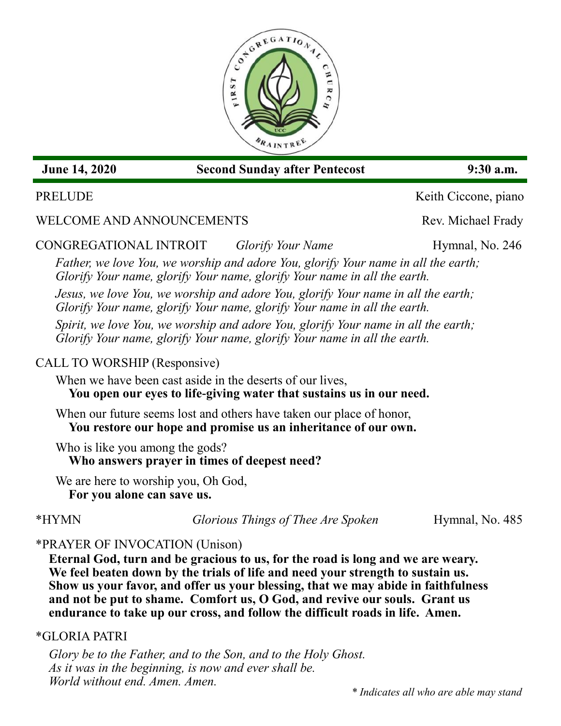

#### **June 14, 2020 Second Sunday after Pentecost 9:30 a.m.**

#### PRELUDE Keith Ciccone, piano

#### WELCOME AND ANNOUNCEMENTS Rev. Michael Frady

### CONGREGATIONAL INTROIT *Glorify Your Name* Hymnal, No. 246

*Father, we love You, we worship and adore You, glorify Your name in all the earth; Glorify Your name, glorify Your name, glorify Your name in all the earth. Jesus, we love You, we worship and adore You, glorify Your name in all the earth; Glorify Your name, glorify Your name, glorify Your name in all the earth. Spirit, we love You, we worship and adore You, glorify Your name in all the earth; Glorify Your name, glorify Your name, glorify Your name in all the earth.*

## CALL TO WORSHIP (Responsive)

When we have been cast aside in the deserts of our lives, **You open our eyes to life-giving water that sustains us in our need.**

When our future seems lost and others have taken our place of honor, **You restore our hope and promise us an inheritance of our own.**

Who is like you among the gods? **Who answers prayer in times of deepest need?**

We are here to worship you, Oh God, **For you alone can save us.**

\*HYMN *Glorious Things of Thee Are Spoken* Hymnal, No. 485

# \*PRAYER OF INVOCATION (Unison)

**Eternal God, turn and be gracious to us, for the road is long and we are weary. We feel beaten down by the trials of life and need your strength to sustain us. Show us your favor, and offer us your blessing, that we may abide in faithfulness and not be put to shame. Comfort us, O God, and revive our souls. Grant us endurance to take up our cross, and follow the difficult roads in life. Amen.** 

#### \*GLORIA PATRI

*Glory be to the Father, and to the Son, and to the Holy Ghost. As it was in the beginning, is now and ever shall be. World without end. Amen. Amen.*

*\* Indicates all who are able may stand*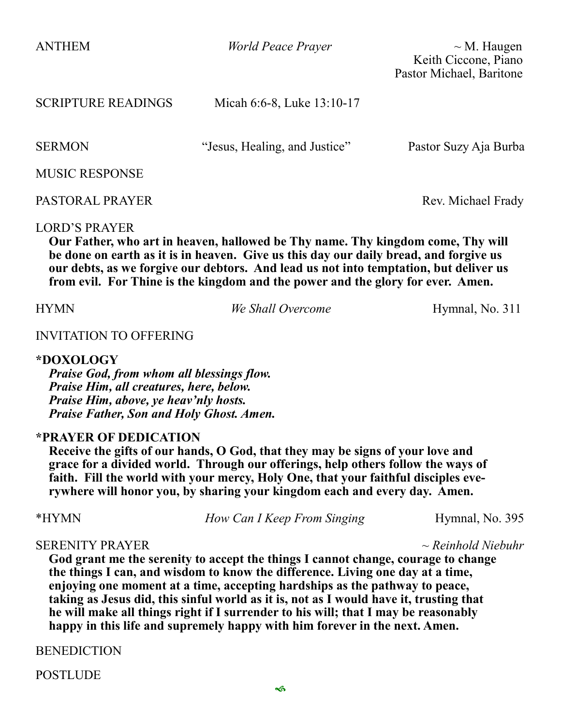| <b>ANTHEM</b>             | World Peace Prayer            | $\sim$ M. Haugen<br>Keith Ciccone, Piano<br>Pastor Michael, Baritone |
|---------------------------|-------------------------------|----------------------------------------------------------------------|
| <b>SCRIPTURE READINGS</b> | Micah 6:6-8, Luke 13:10-17    |                                                                      |
| <b>SERMON</b>             | "Jesus, Healing, and Justice" | Pastor Suzy Aja Burba                                                |
| <b>MUSIC RESPONSE</b>     |                               |                                                                      |
| PASTORAL PRAYER           |                               | Rev. Michael Frady                                                   |

#### LORD'S PRAYER

**Our Father, who art in heaven, hallowed be Thy name. Thy kingdom come, Thy will be done on earth as it is in heaven. Give us this day our daily bread, and forgive us our debts, as we forgive our debtors. And lead us not into temptation, but deliver us from evil. For Thine is the kingdom and the power and the glory for ever. Amen.**

*We Shall Overcome* Hymnal, No. 311

#### INVITATION TO OFFERING

#### **\*DOXOLOGY**

*Praise God, from whom all blessings flow. Praise Him, all creatures, here, below. Praise Him, above, ye heav'nly hosts. Praise Father, Son and Holy Ghost. Amen.*

#### **\*PRAYER OF DEDICATION**

**Receive the gifts of our hands, O God, that they may be signs of your love and grace for a divided world. Through our offerings, help others follow the ways of faith. Fill the world with your mercy, Holy One, that your faithful disciples everywhere will honor you, by sharing your kingdom each and every day. Amen.** 

\*HYMN *How Can I Keep From Singing* Hymnal, No. 395

#### SERENITY PRAYER *~ Reinhold Niebuhr*

**God grant me the serenity to accept the things I cannot change, courage to change the things I can, and wisdom to know the difference. Living one day at a time, enjoying one moment at a time, accepting hardships as the pathway to peace, taking as Jesus did, this sinful world as it is, not as I would have it, trusting that he will make all things right if I surrender to his will; that I may be reasonably happy in this life and supremely happy with him forever in the next. Amen.** 

**BENEDICTION** 

**POSTLUDE**